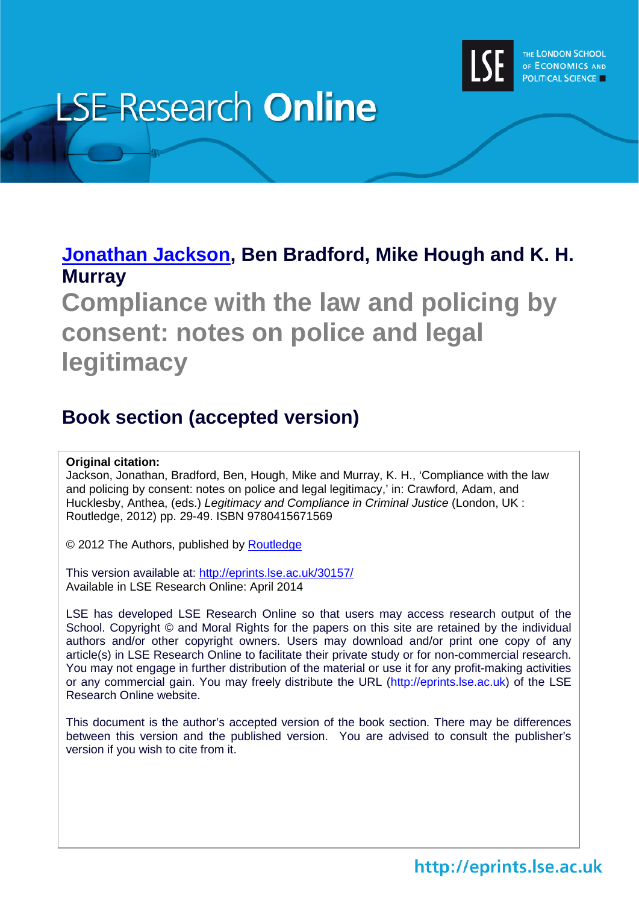

# **LSE Research Online**

## **[Jonathan Jackson,](http://www2.lse.ac.uk/researchAndExpertise/Experts/profile.aspx?KeyValue=j.p.jackson@lse.ac.uk) Ben Bradford, Mike Hough and K. H. Murray**

**Compliance with the law and policing by consent: notes on police and legal legitimacy**

# **Book section (accepted version)**

## **Original citation:**

Jackson, Jonathan, Bradford, Ben, Hough, Mike and Murray, K. H., 'Compliance with the law and policing by consent: notes on police and legal legitimacy,' in: Crawford, Adam, and Hucklesby, Anthea, (eds.) *Legitimacy and Compliance in Criminal Justice* (London, UK : Routledge, 2012) pp. 29-49. ISBN 9780415671569

© 2012 The Authors, published by [Routledge](http://www.routledge.com/)

This version available at:<http://eprints.lse.ac.uk/30157/> Available in LSE Research Online: April 2014

LSE has developed LSE Research Online so that users may access research output of the School. Copyright © and Moral Rights for the papers on this site are retained by the individual authors and/or other copyright owners. Users may download and/or print one copy of any article(s) in LSE Research Online to facilitate their private study or for non-commercial research. You may not engage in further distribution of the material or use it for any profit-making activities or any commercial gain. You may freely distribute the URL (http://eprints.lse.ac.uk) of the LSE Research Online website.

This document is the author's accepted version of the book section. There may be differences between this version and the published version. You are advised to consult the publisher's version if you wish to cite from it.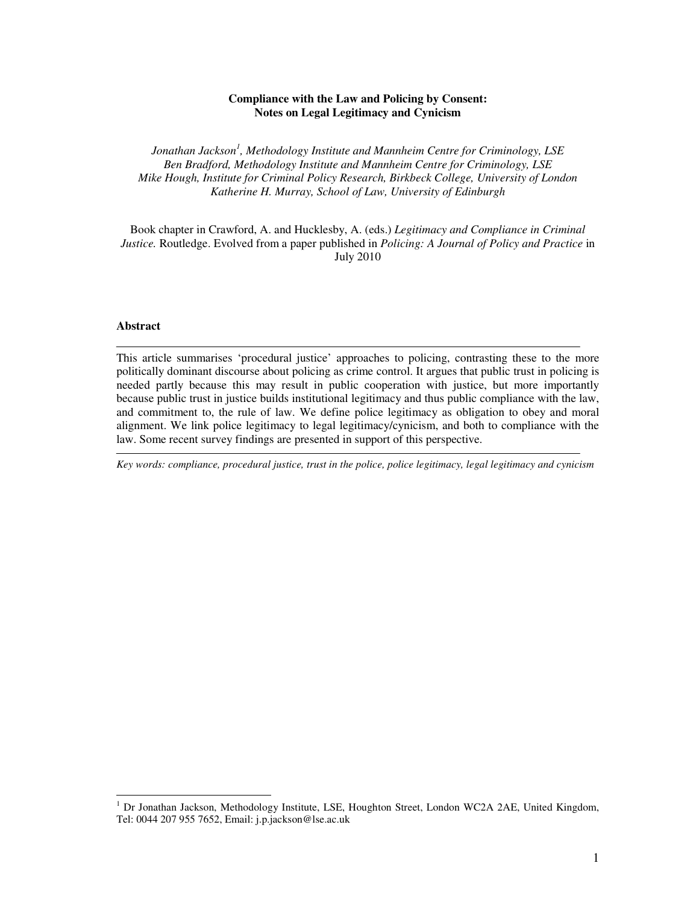#### **Compliance with the Law and Policing by Consent: Notes on Legal Legitimacy and Cynicism**

*Jonathan Jackson<sup>1</sup> , Methodology Institute and Mannheim Centre for Criminology, LSE Ben Bradford, Methodology Institute and Mannheim Centre for Criminology, LSE Mike Hough, Institute for Criminal Policy Research, Birkbeck College, University of London Katherine H. Murray, School of Law, University of Edinburgh* 

Book chapter in Crawford, A. and Hucklesby, A. (eds.) *Legitimacy and Compliance in Criminal Justice.* Routledge. Evolved from a paper published in *Policing: A Journal of Policy and Practice* in July 2010

#### **Abstract**

 $\ddot{\phantom{a}}$ 

This article summarises 'procedural justice' approaches to policing, contrasting these to the more politically dominant discourse about policing as crime control. It argues that public trust in policing is needed partly because this may result in public cooperation with justice, but more importantly because public trust in justice builds institutional legitimacy and thus public compliance with the law, and commitment to, the rule of law. We define police legitimacy as obligation to obey and moral alignment. We link police legitimacy to legal legitimacy/cynicism, and both to compliance with the law. Some recent survey findings are presented in support of this perspective.

*Key words: compliance, procedural justice, trust in the police, police legitimacy, legal legitimacy and cynicism* 

<sup>&</sup>lt;sup>1</sup> Dr Jonathan Jackson, Methodology Institute, LSE, Houghton Street, London WC2A 2AE, United Kingdom, Tel: 0044 207 955 7652, Email: j.p.jackson@lse.ac.uk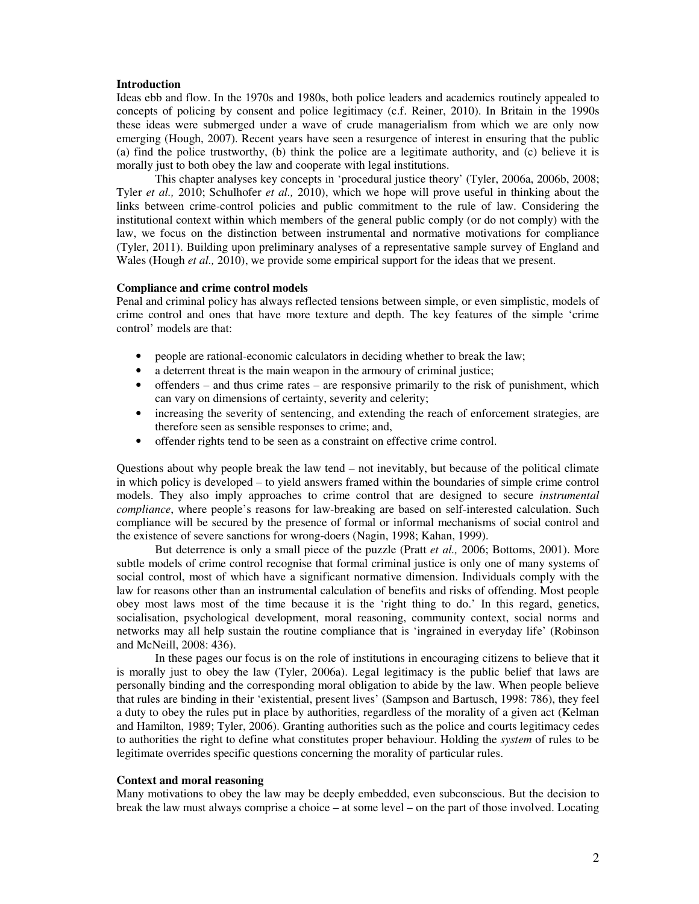#### **Introduction**

Ideas ebb and flow. In the 1970s and 1980s, both police leaders and academics routinely appealed to concepts of policing by consent and police legitimacy (c.f. Reiner, 2010). In Britain in the 1990s these ideas were submerged under a wave of crude managerialism from which we are only now emerging (Hough, 2007). Recent years have seen a resurgence of interest in ensuring that the public (a) find the police trustworthy, (b) think the police are a legitimate authority, and (c) believe it is morally just to both obey the law and cooperate with legal institutions.

This chapter analyses key concepts in 'procedural justice theory' (Tyler, 2006a, 2006b, 2008; Tyler *et al.,* 2010; Schulhofer *et al.,* 2010), which we hope will prove useful in thinking about the links between crime-control policies and public commitment to the rule of law. Considering the institutional context within which members of the general public comply (or do not comply) with the law, we focus on the distinction between instrumental and normative motivations for compliance (Tyler, 2011). Building upon preliminary analyses of a representative sample survey of England and Wales (Hough *et al.,* 2010), we provide some empirical support for the ideas that we present.

#### **Compliance and crime control models**

Penal and criminal policy has always reflected tensions between simple, or even simplistic, models of crime control and ones that have more texture and depth. The key features of the simple 'crime control' models are that:

- people are rational-economic calculators in deciding whether to break the law;
- a deterrent threat is the main weapon in the armoury of criminal justice;
- $\bullet$  offenders and thus crime rates are responsive primarily to the risk of punishment, which can vary on dimensions of certainty, severity and celerity;
- increasing the severity of sentencing, and extending the reach of enforcement strategies, are therefore seen as sensible responses to crime; and,
- offender rights tend to be seen as a constraint on effective crime control.

Questions about why people break the law tend – not inevitably, but because of the political climate in which policy is developed – to yield answers framed within the boundaries of simple crime control models. They also imply approaches to crime control that are designed to secure *instrumental compliance*, where people's reasons for law-breaking are based on self-interested calculation. Such compliance will be secured by the presence of formal or informal mechanisms of social control and the existence of severe sanctions for wrong-doers (Nagin, 1998; Kahan, 1999).

But deterrence is only a small piece of the puzzle (Pratt *et al.,* 2006; Bottoms, 2001). More subtle models of crime control recognise that formal criminal justice is only one of many systems of social control, most of which have a significant normative dimension. Individuals comply with the law for reasons other than an instrumental calculation of benefits and risks of offending. Most people obey most laws most of the time because it is the 'right thing to do.' In this regard, genetics, socialisation, psychological development, moral reasoning, community context, social norms and networks may all help sustain the routine compliance that is 'ingrained in everyday life' (Robinson and McNeill, 2008: 436).

In these pages our focus is on the role of institutions in encouraging citizens to believe that it is morally just to obey the law (Tyler, 2006a). Legal legitimacy is the public belief that laws are personally binding and the corresponding moral obligation to abide by the law. When people believe that rules are binding in their 'existential, present lives' (Sampson and Bartusch, 1998: 786), they feel a duty to obey the rules put in place by authorities, regardless of the morality of a given act (Kelman and Hamilton, 1989; Tyler, 2006). Granting authorities such as the police and courts legitimacy cedes to authorities the right to define what constitutes proper behaviour. Holding the *system* of rules to be legitimate overrides specific questions concerning the morality of particular rules.

#### **Context and moral reasoning**

Many motivations to obey the law may be deeply embedded, even subconscious. But the decision to break the law must always comprise a choice – at some level – on the part of those involved. Locating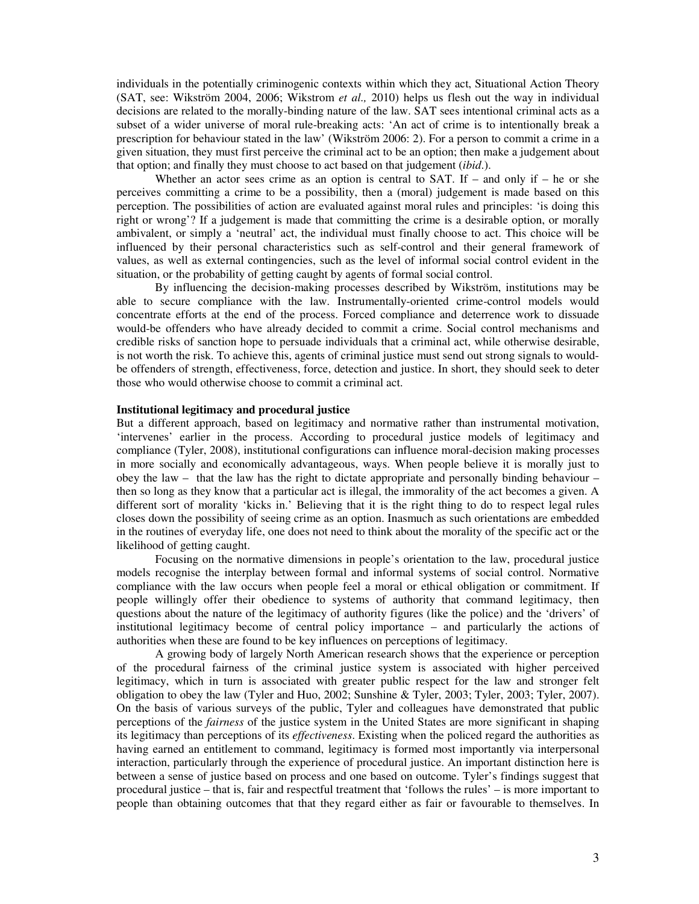individuals in the potentially criminogenic contexts within which they act, Situational Action Theory (SAT, see: Wikström 2004, 2006; Wikstrom *et al.,* 2010) helps us flesh out the way in individual decisions are related to the morally-binding nature of the law. SAT sees intentional criminal acts as a subset of a wider universe of moral rule-breaking acts: 'An act of crime is to intentionally break a prescription for behaviour stated in the law' (Wikström 2006: 2). For a person to commit a crime in a given situation, they must first perceive the criminal act to be an option; then make a judgement about that option; and finally they must choose to act based on that judgement (*ibid*.).

Whether an actor sees crime as an option is central to SAT. If – and only if – he or she perceives committing a crime to be a possibility, then a (moral) judgement is made based on this perception. The possibilities of action are evaluated against moral rules and principles: 'is doing this right or wrong'? If a judgement is made that committing the crime is a desirable option, or morally ambivalent, or simply a 'neutral' act, the individual must finally choose to act. This choice will be influenced by their personal characteristics such as self-control and their general framework of values, as well as external contingencies, such as the level of informal social control evident in the situation, or the probability of getting caught by agents of formal social control.

By influencing the decision-making processes described by Wikström, institutions may be able to secure compliance with the law. Instrumentally-oriented crime-control models would concentrate efforts at the end of the process. Forced compliance and deterrence work to dissuade would-be offenders who have already decided to commit a crime. Social control mechanisms and credible risks of sanction hope to persuade individuals that a criminal act, while otherwise desirable, is not worth the risk. To achieve this, agents of criminal justice must send out strong signals to wouldbe offenders of strength, effectiveness, force, detection and justice. In short, they should seek to deter those who would otherwise choose to commit a criminal act.

#### **Institutional legitimacy and procedural justice**

But a different approach, based on legitimacy and normative rather than instrumental motivation, 'intervenes' earlier in the process. According to procedural justice models of legitimacy and compliance (Tyler, 2008), institutional configurations can influence moral-decision making processes in more socially and economically advantageous, ways. When people believe it is morally just to obey the law – that the law has the right to dictate appropriate and personally binding behaviour – then so long as they know that a particular act is illegal, the immorality of the act becomes a given. A different sort of morality 'kicks in.' Believing that it is the right thing to do to respect legal rules closes down the possibility of seeing crime as an option. Inasmuch as such orientations are embedded in the routines of everyday life, one does not need to think about the morality of the specific act or the likelihood of getting caught.

Focusing on the normative dimensions in people's orientation to the law, procedural justice models recognise the interplay between formal and informal systems of social control. Normative compliance with the law occurs when people feel a moral or ethical obligation or commitment. If people willingly offer their obedience to systems of authority that command legitimacy, then questions about the nature of the legitimacy of authority figures (like the police) and the 'drivers' of institutional legitimacy become of central policy importance – and particularly the actions of authorities when these are found to be key influences on perceptions of legitimacy.

A growing body of largely North American research shows that the experience or perception of the procedural fairness of the criminal justice system is associated with higher perceived legitimacy, which in turn is associated with greater public respect for the law and stronger felt obligation to obey the law (Tyler and Huo, 2002; Sunshine & Tyler, 2003; Tyler, 2003; Tyler, 2007). On the basis of various surveys of the public, Tyler and colleagues have demonstrated that public perceptions of the *fairness* of the justice system in the United States are more significant in shaping its legitimacy than perceptions of its *effectiveness*. Existing when the policed regard the authorities as having earned an entitlement to command, legitimacy is formed most importantly via interpersonal interaction, particularly through the experience of procedural justice. An important distinction here is between a sense of justice based on process and one based on outcome. Tyler's findings suggest that procedural justice – that is, fair and respectful treatment that 'follows the rules' – is more important to people than obtaining outcomes that that they regard either as fair or favourable to themselves. In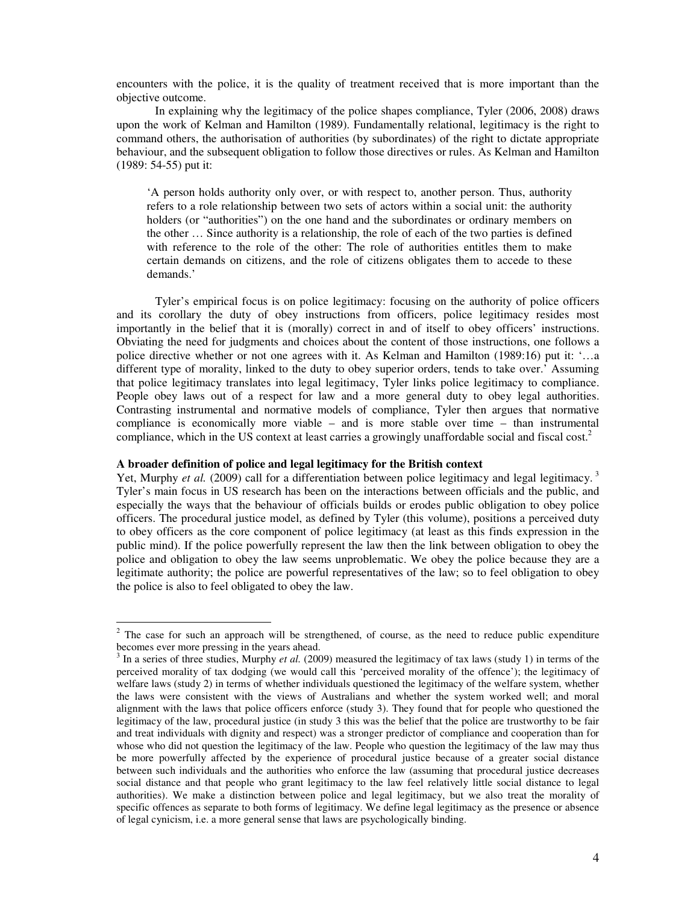encounters with the police, it is the quality of treatment received that is more important than the objective outcome.

In explaining why the legitimacy of the police shapes compliance, Tyler (2006, 2008) draws upon the work of Kelman and Hamilton (1989). Fundamentally relational, legitimacy is the right to command others, the authorisation of authorities (by subordinates) of the right to dictate appropriate behaviour, and the subsequent obligation to follow those directives or rules. As Kelman and Hamilton (1989: 54-55) put it:

'A person holds authority only over, or with respect to, another person. Thus, authority refers to a role relationship between two sets of actors within a social unit: the authority holders (or "authorities") on the one hand and the subordinates or ordinary members on the other … Since authority is a relationship, the role of each of the two parties is defined with reference to the role of the other: The role of authorities entitles them to make certain demands on citizens, and the role of citizens obligates them to accede to these demands.'

Tyler's empirical focus is on police legitimacy: focusing on the authority of police officers and its corollary the duty of obey instructions from officers, police legitimacy resides most importantly in the belief that it is (morally) correct in and of itself to obey officers' instructions. Obviating the need for judgments and choices about the content of those instructions, one follows a police directive whether or not one agrees with it. As Kelman and Hamilton (1989:16) put it: '…a different type of morality, linked to the duty to obey superior orders, tends to take over.' Assuming that police legitimacy translates into legal legitimacy, Tyler links police legitimacy to compliance. People obey laws out of a respect for law and a more general duty to obey legal authorities. Contrasting instrumental and normative models of compliance, Tyler then argues that normative compliance is economically more viable – and is more stable over time – than instrumental compliance, which in the US context at least carries a growingly unaffordable social and fiscal cost.<sup>2</sup>

#### **A broader definition of police and legal legitimacy for the British context**

 $\ddot{\phantom{a}}$ 

Yet, Murphy *et al.* (2009) call for a differentiation between police legitimacy and legal legitimacy.<sup>3</sup> Tyler's main focus in US research has been on the interactions between officials and the public, and especially the ways that the behaviour of officials builds or erodes public obligation to obey police officers. The procedural justice model, as defined by Tyler (this volume), positions a perceived duty to obey officers as the core component of police legitimacy (at least as this finds expression in the public mind). If the police powerfully represent the law then the link between obligation to obey the police and obligation to obey the law seems unproblematic. We obey the police because they are a legitimate authority; the police are powerful representatives of the law; so to feel obligation to obey the police is also to feel obligated to obey the law.

 $2$  The case for such an approach will be strengthened, of course, as the need to reduce public expenditure becomes ever more pressing in the years ahead.

<sup>&</sup>lt;sup>3</sup> In a series of three studies, Murphy *et al.* (2009) measured the legitimacy of tax laws (study 1) in terms of the perceived morality of tax dodging (we would call this 'perceived morality of the offence'); the legitimacy of welfare laws (study 2) in terms of whether individuals questioned the legitimacy of the welfare system, whether the laws were consistent with the views of Australians and whether the system worked well; and moral alignment with the laws that police officers enforce (study 3). They found that for people who questioned the legitimacy of the law, procedural justice (in study 3 this was the belief that the police are trustworthy to be fair and treat individuals with dignity and respect) was a stronger predictor of compliance and cooperation than for whose who did not question the legitimacy of the law. People who question the legitimacy of the law may thus be more powerfully affected by the experience of procedural justice because of a greater social distance between such individuals and the authorities who enforce the law (assuming that procedural justice decreases social distance and that people who grant legitimacy to the law feel relatively little social distance to legal authorities). We make a distinction between police and legal legitimacy, but we also treat the morality of specific offences as separate to both forms of legitimacy. We define legal legitimacy as the presence or absence of legal cynicism, i.e. a more general sense that laws are psychologically binding.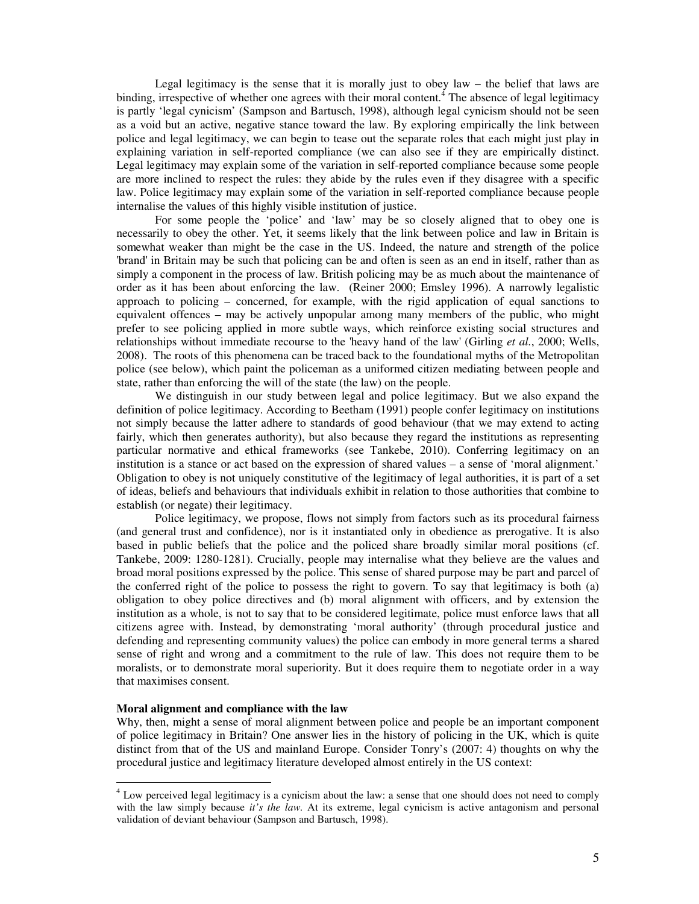Legal legitimacy is the sense that it is morally just to obey law – the belief that laws are binding, irrespective of whether one agrees with their moral content.<sup>4</sup> The absence of legal legitimacy is partly 'legal cynicism' (Sampson and Bartusch, 1998), although legal cynicism should not be seen as a void but an active, negative stance toward the law. By exploring empirically the link between police and legal legitimacy, we can begin to tease out the separate roles that each might just play in explaining variation in self-reported compliance (we can also see if they are empirically distinct. Legal legitimacy may explain some of the variation in self-reported compliance because some people are more inclined to respect the rules: they abide by the rules even if they disagree with a specific law. Police legitimacy may explain some of the variation in self-reported compliance because people internalise the values of this highly visible institution of justice.

For some people the 'police' and 'law' may be so closely aligned that to obey one is necessarily to obey the other. Yet, it seems likely that the link between police and law in Britain is somewhat weaker than might be the case in the US. Indeed, the nature and strength of the police 'brand' in Britain may be such that policing can be and often is seen as an end in itself, rather than as simply a component in the process of law. British policing may be as much about the maintenance of order as it has been about enforcing the law. (Reiner 2000; Emsley 1996). A narrowly legalistic approach to policing – concerned, for example, with the rigid application of equal sanctions to equivalent offences – may be actively unpopular among many members of the public, who might prefer to see policing applied in more subtle ways, which reinforce existing social structures and relationships without immediate recourse to the 'heavy hand of the law' (Girling *et al.*, 2000; Wells, 2008). The roots of this phenomena can be traced back to the foundational myths of the Metropolitan police (see below), which paint the policeman as a uniformed citizen mediating between people and state, rather than enforcing the will of the state (the law) on the people.

We distinguish in our study between legal and police legitimacy. But we also expand the definition of police legitimacy. According to Beetham (1991) people confer legitimacy on institutions not simply because the latter adhere to standards of good behaviour (that we may extend to acting fairly, which then generates authority), but also because they regard the institutions as representing particular normative and ethical frameworks (see Tankebe, 2010). Conferring legitimacy on an institution is a stance or act based on the expression of shared values – a sense of 'moral alignment.' Obligation to obey is not uniquely constitutive of the legitimacy of legal authorities, it is part of a set of ideas, beliefs and behaviours that individuals exhibit in relation to those authorities that combine to establish (or negate) their legitimacy.

Police legitimacy, we propose, flows not simply from factors such as its procedural fairness (and general trust and confidence), nor is it instantiated only in obedience as prerogative. It is also based in public beliefs that the police and the policed share broadly similar moral positions (cf. Tankebe, 2009: 1280-1281). Crucially, people may internalise what they believe are the values and broad moral positions expressed by the police. This sense of shared purpose may be part and parcel of the conferred right of the police to possess the right to govern. To say that legitimacy is both (a) obligation to obey police directives and (b) moral alignment with officers, and by extension the institution as a whole, is not to say that to be considered legitimate, police must enforce laws that all citizens agree with. Instead, by demonstrating 'moral authority' (through procedural justice and defending and representing community values) the police can embody in more general terms a shared sense of right and wrong and a commitment to the rule of law. This does not require them to be moralists, or to demonstrate moral superiority. But it does require them to negotiate order in a way that maximises consent.

#### **Moral alignment and compliance with the law**

 $\ddot{\phantom{a}}$ 

Why, then, might a sense of moral alignment between police and people be an important component of police legitimacy in Britain? One answer lies in the history of policing in the UK, which is quite distinct from that of the US and mainland Europe. Consider Tonry's (2007: 4) thoughts on why the procedural justice and legitimacy literature developed almost entirely in the US context:

<sup>&</sup>lt;sup>4</sup> Low perceived legal legitimacy is a cynicism about the law: a sense that one should does not need to comply with the law simply because *it's the law*. At its extreme, legal cynicism is active antagonism and personal validation of deviant behaviour (Sampson and Bartusch, 1998).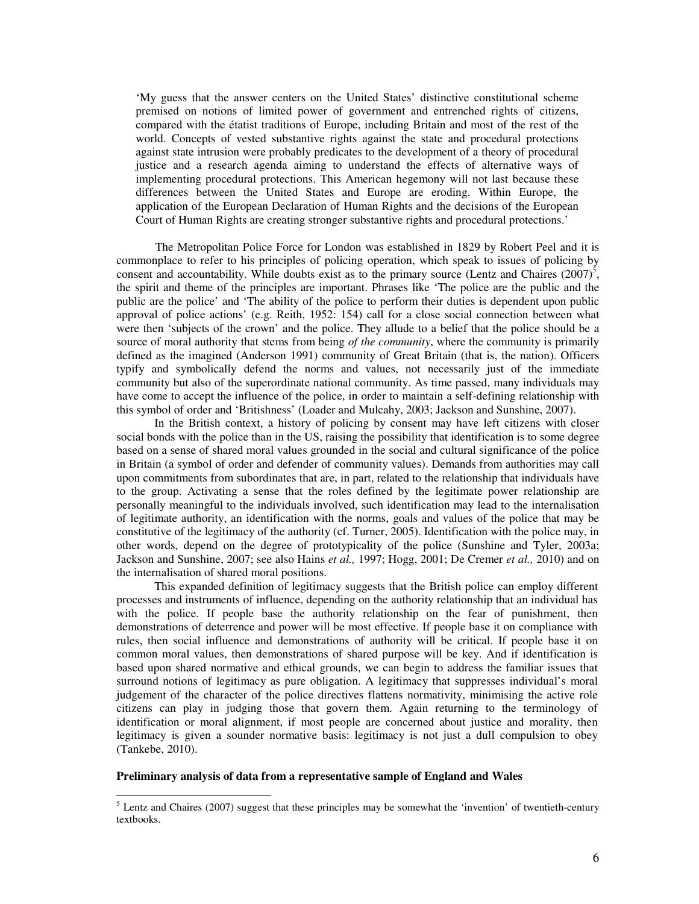'My guess that the answer centers on the United States' distinctive constitutional scheme premised on notions of limited power of government and entrenched rights of citizens, compared with the étatist traditions of Europe, including Britain and most of the rest of the world. Concepts of vested substantive rights against the state and procedural protections against state intrusion were probably predicates to the development of a theory of procedural justice and a research agenda aiming to understand the effects of alternative ways of implementing procedural protections. This American hegemony will not last because these differences between the United States and Europe are eroding. Within Europe, the application of the European Declaration of Human Rights and the decisions of the European Court of Human Rights are creating stronger substantive rights and procedural protections.'

The Metropolitan Police Force for London was established in 1829 by Robert Peel and it is commonplace to refer to his principles of policing operation, which speak to issues of policing by consent and accountability. While doubts exist as to the primary source (Lentz and Chaires  $(2007)^5$ , the spirit and theme of the principles are important. Phrases like 'The police are the public and the public are the police' and 'The ability of the police to perform their duties is dependent upon public approval of police actions' (e.g. Reith, 1952: 154) call for a close social connection between what were then 'subjects of the crown' and the police. They allude to a belief that the police should be a source of moral authority that stems from being *of the community*, where the community is primarily defined as the imagined (Anderson 1991) community of Great Britain (that is, the nation). Officers typify and symbolically defend the norms and values, not necessarily just of the immediate community but also of the superordinate national community. As time passed, many individuals may have come to accept the influence of the police, in order to maintain a self-defining relationship with this symbol of order and 'Britishness' (Loader and Mulcahy, 2003; Jackson and Sunshine, 2007).

In the British context, a history of policing by consent may have left citizens with closer social bonds with the police than in the US, raising the possibility that identification is to some degree based on a sense of shared moral values grounded in the social and cultural significance of the police in Britain (a symbol of order and defender of community values). Demands from authorities may call upon commitments from subordinates that are, in part, related to the relationship that individuals have to the group. Activating a sense that the roles defined by the legitimate power relationship are personally meaningful to the individuals involved, such identification may lead to the internalisation of legitimate authority, an identification with the norms, goals and values of the police that may be constitutive of the legitimacy of the authority (cf. Turner, 2005). Identification with the police may, in other words, depend on the degree of prototypicality of the police (Sunshine and Tyler, 2003a; Jackson and Sunshine, 2007; see also Hains *et al.,* 1997; Hogg, 2001; De Cremer *et al.,* 2010) and on the internalisation of shared moral positions.

This expanded definition of legitimacy suggests that the British police can employ different processes and instruments of influence, depending on the authority relationship that an individual has with the police. If people base the authority relationship on the fear of punishment, then demonstrations of deterrence and power will be most effective. If people base it on compliance with rules, then social influence and demonstrations of authority will be critical. If people base it on common moral values, then demonstrations of shared purpose will be key. And if identification is based upon shared normative and ethical grounds, we can begin to address the familiar issues that surround notions of legitimacy as pure obligation. A legitimacy that suppresses individual's moral judgement of the character of the police directives flattens normativity, minimising the active role citizens can play in judging those that govern them. Again returning to the terminology of identification or moral alignment, if most people are concerned about justice and morality, then legitimacy is given a sounder normative basis: legitimacy is not just a dull compulsion to obey (Tankebe, 2010).

#### **Preliminary analysis of data from a representative sample of England and Wales**

 $\ddot{\phantom{a}}$ 

<sup>&</sup>lt;sup>5</sup> Lentz and Chaires (2007) suggest that these principles may be somewhat the 'invention' of twentieth-century textbooks.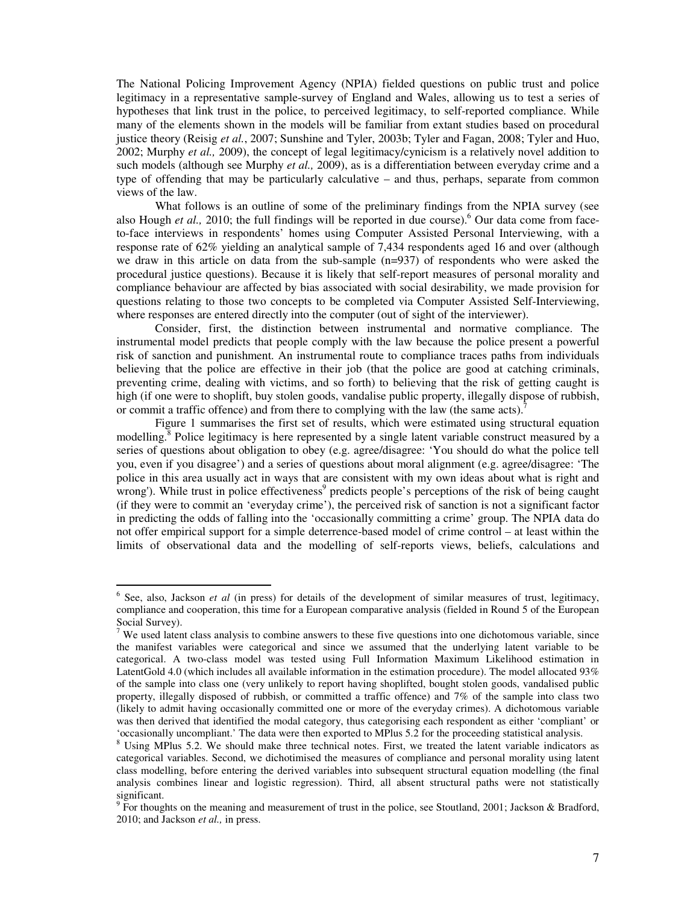The National Policing Improvement Agency (NPIA) fielded questions on public trust and police legitimacy in a representative sample-survey of England and Wales, allowing us to test a series of hypotheses that link trust in the police, to perceived legitimacy, to self-reported compliance. While many of the elements shown in the models will be familiar from extant studies based on procedural justice theory (Reisig *et al.*, 2007; Sunshine and Tyler, 2003b; Tyler and Fagan, 2008; Tyler and Huo, 2002; Murphy *et al.,* 2009), the concept of legal legitimacy/cynicism is a relatively novel addition to such models (although see Murphy *et al.,* 2009), as is a differentiation between everyday crime and a type of offending that may be particularly calculative – and thus, perhaps, separate from common views of the law.

What follows is an outline of some of the preliminary findings from the NPIA survey (see also Hough *et al.*, 2010; the full findings will be reported in due course). <sup>6</sup> Our data come from faceto-face interviews in respondents' homes using Computer Assisted Personal Interviewing, with a response rate of 62% yielding an analytical sample of 7,434 respondents aged 16 and over (although we draw in this article on data from the sub-sample (n=937) of respondents who were asked the procedural justice questions). Because it is likely that self-report measures of personal morality and compliance behaviour are affected by bias associated with social desirability, we made provision for questions relating to those two concepts to be completed via Computer Assisted Self-Interviewing, where responses are entered directly into the computer (out of sight of the interviewer).

Consider, first, the distinction between instrumental and normative compliance. The instrumental model predicts that people comply with the law because the police present a powerful risk of sanction and punishment. An instrumental route to compliance traces paths from individuals believing that the police are effective in their job (that the police are good at catching criminals, preventing crime, dealing with victims, and so forth) to believing that the risk of getting caught is high (if one were to shoplift, buy stolen goods, vandalise public property, illegally dispose of rubbish, or commit a traffic offence) and from there to complying with the law (the same acts).<sup>7</sup>

Figure 1 summarises the first set of results, which were estimated using structural equation modelling.<sup>8</sup> Police legitimacy is here represented by a single latent variable construct measured by a series of questions about obligation to obey (e.g. agree/disagree: 'You should do what the police tell you, even if you disagree') and a series of questions about moral alignment (e.g. agree/disagree: 'The police in this area usually act in ways that are consistent with my own ideas about what is right and wrong'). While trust in police effectiveness<sup>9</sup> predicts people's perceptions of the risk of being caught (if they were to commit an 'everyday crime'), the perceived risk of sanction is not a significant factor in predicting the odds of falling into the 'occasionally committing a crime' group. The NPIA data do not offer empirical support for a simple deterrence-based model of crime control – at least within the limits of observational data and the modelling of self-reports views, beliefs, calculations and

<sup>&</sup>lt;sup>6</sup> See, also, Jackson *et al* (in press) for details of the development of similar measures of trust, legitimacy, compliance and cooperation, this time for a European comparative analysis (fielded in Round 5 of the European Social Survey).

 $7$  We used latent class analysis to combine answers to these five questions into one dichotomous variable, since the manifest variables were categorical and since we assumed that the underlying latent variable to be categorical. A two-class model was tested using Full Information Maximum Likelihood estimation in LatentGold 4.0 (which includes all available information in the estimation procedure). The model allocated 93% of the sample into class one (very unlikely to report having shoplifted, bought stolen goods, vandalised public property, illegally disposed of rubbish, or committed a traffic offence) and 7% of the sample into class two (likely to admit having occasionally committed one or more of the everyday crimes). A dichotomous variable was then derived that identified the modal category, thus categorising each respondent as either 'compliant' or 'occasionally uncompliant.' The data were then exported to MPlus 5.2 for the proceeding statistical analysis.

<sup>8</sup> Using MPlus 5.2. We should make three technical notes. First, we treated the latent variable indicators as categorical variables. Second, we dichotimised the measures of compliance and personal morality using latent class modelling, before entering the derived variables into subsequent structural equation modelling (the final analysis combines linear and logistic regression). Third, all absent structural paths were not statistically significant.

<sup>9</sup> For thoughts on the meaning and measurement of trust in the police, see Stoutland, 2001; Jackson & Bradford, 2010; and Jackson *et al.,* in press.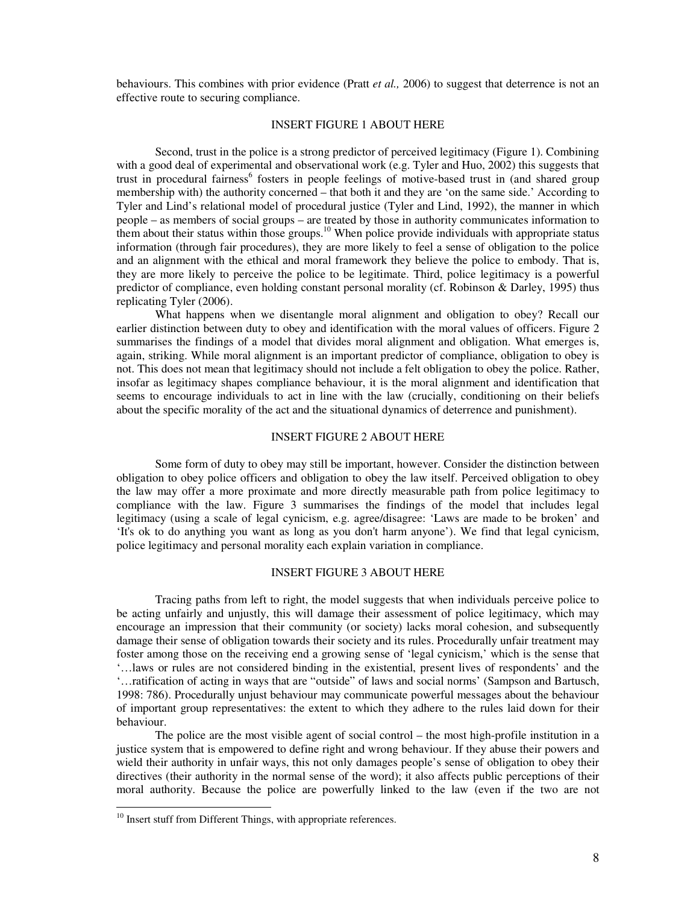behaviours. This combines with prior evidence (Pratt *et al.,* 2006) to suggest that deterrence is not an effective route to securing compliance.

#### INSERT FIGURE 1 ABOUT HERE

Second, trust in the police is a strong predictor of perceived legitimacy (Figure 1). Combining with a good deal of experimental and observational work (e.g. Tyler and Huo, 2002) this suggests that trust in procedural fairness<sup>6</sup> fosters in people feelings of motive-based trust in (and shared group membership with) the authority concerned – that both it and they are 'on the same side.' According to Tyler and Lind's relational model of procedural justice (Tyler and Lind, 1992), the manner in which people – as members of social groups – are treated by those in authority communicates information to them about their status within those groups.<sup>10</sup> When police provide individuals with appropriate status information (through fair procedures), they are more likely to feel a sense of obligation to the police and an alignment with the ethical and moral framework they believe the police to embody. That is, they are more likely to perceive the police to be legitimate. Third, police legitimacy is a powerful predictor of compliance, even holding constant personal morality (cf. Robinson & Darley, 1995) thus replicating Tyler (2006).

What happens when we disentangle moral alignment and obligation to obey? Recall our earlier distinction between duty to obey and identification with the moral values of officers. Figure 2 summarises the findings of a model that divides moral alignment and obligation. What emerges is, again, striking. While moral alignment is an important predictor of compliance, obligation to obey is not. This does not mean that legitimacy should not include a felt obligation to obey the police. Rather, insofar as legitimacy shapes compliance behaviour, it is the moral alignment and identification that seems to encourage individuals to act in line with the law (crucially, conditioning on their beliefs about the specific morality of the act and the situational dynamics of deterrence and punishment).

#### INSERT FIGURE 2 ABOUT HERE

Some form of duty to obey may still be important, however. Consider the distinction between obligation to obey police officers and obligation to obey the law itself. Perceived obligation to obey the law may offer a more proximate and more directly measurable path from police legitimacy to compliance with the law. Figure 3 summarises the findings of the model that includes legal legitimacy (using a scale of legal cynicism, e.g. agree/disagree: 'Laws are made to be broken' and 'It's ok to do anything you want as long as you don't harm anyone'). We find that legal cynicism, police legitimacy and personal morality each explain variation in compliance.

#### INSERT FIGURE 3 ABOUT HERE

Tracing paths from left to right, the model suggests that when individuals perceive police to be acting unfairly and unjustly, this will damage their assessment of police legitimacy, which may encourage an impression that their community (or society) lacks moral cohesion, and subsequently damage their sense of obligation towards their society and its rules. Procedurally unfair treatment may foster among those on the receiving end a growing sense of 'legal cynicism,' which is the sense that '…laws or rules are not considered binding in the existential, present lives of respondents' and the '…ratification of acting in ways that are "outside" of laws and social norms' (Sampson and Bartusch, 1998: 786). Procedurally unjust behaviour may communicate powerful messages about the behaviour of important group representatives: the extent to which they adhere to the rules laid down for their behaviour.

The police are the most visible agent of social control – the most high-profile institution in a justice system that is empowered to define right and wrong behaviour. If they abuse their powers and wield their authority in unfair ways, this not only damages people's sense of obligation to obey their directives (their authority in the normal sense of the word); it also affects public perceptions of their moral authority. Because the police are powerfully linked to the law (even if the two are not

 $\ddot{\phantom{a}}$ 

<sup>&</sup>lt;sup>10</sup> Insert stuff from Different Things, with appropriate references.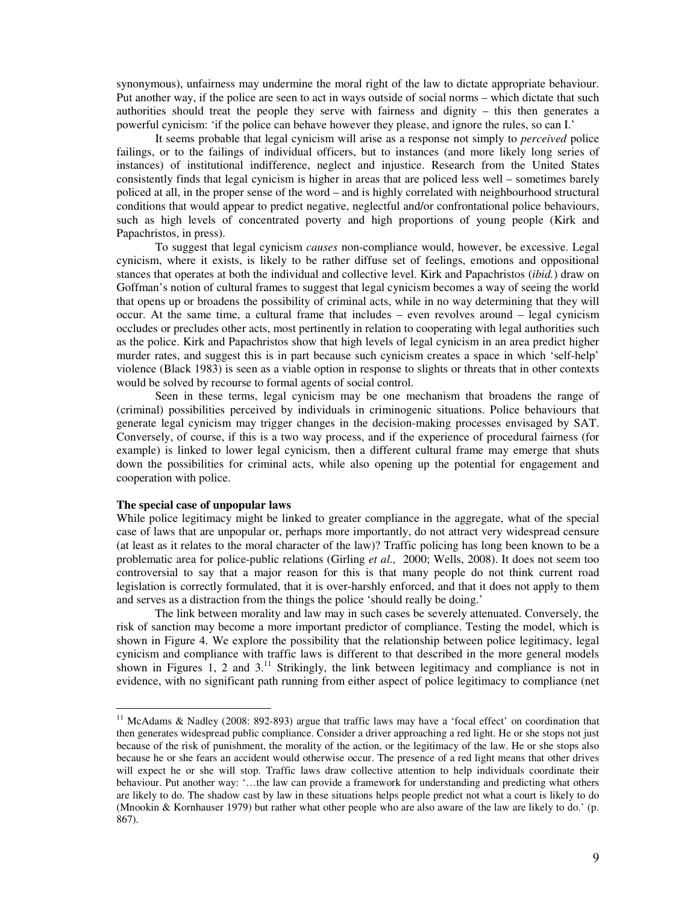synonymous), unfairness may undermine the moral right of the law to dictate appropriate behaviour. Put another way, if the police are seen to act in ways outside of social norms – which dictate that such authorities should treat the people they serve with fairness and dignity – this then generates a powerful cynicism: 'if the police can behave however they please, and ignore the rules, so can I.'

It seems probable that legal cynicism will arise as a response not simply to *perceived* police failings, or to the failings of individual officers, but to instances (and more likely long series of instances) of institutional indifference, neglect and injustice. Research from the United States consistently finds that legal cynicism is higher in areas that are policed less well – sometimes barely policed at all, in the proper sense of the word – and is highly correlated with neighbourhood structural conditions that would appear to predict negative, neglectful and/or confrontational police behaviours, such as high levels of concentrated poverty and high proportions of young people (Kirk and Papachristos, in press).

 To suggest that legal cynicism *causes* non-compliance would, however, be excessive. Legal cynicism, where it exists, is likely to be rather diffuse set of feelings, emotions and oppositional stances that operates at both the individual and collective level. Kirk and Papachristos (*ibid.*) draw on Goffman's notion of cultural frames to suggest that legal cynicism becomes a way of seeing the world that opens up or broadens the possibility of criminal acts, while in no way determining that they will occur. At the same time, a cultural frame that includes – even revolves around – legal cynicism occludes or precludes other acts, most pertinently in relation to cooperating with legal authorities such as the police. Kirk and Papachristos show that high levels of legal cynicism in an area predict higher murder rates, and suggest this is in part because such cynicism creates a space in which 'self-help' violence (Black 1983) is seen as a viable option in response to slights or threats that in other contexts would be solved by recourse to formal agents of social control.

Seen in these terms, legal cynicism may be one mechanism that broadens the range of (criminal) possibilities perceived by individuals in criminogenic situations. Police behaviours that generate legal cynicism may trigger changes in the decision-making processes envisaged by SAT. Conversely, of course, if this is a two way process, and if the experience of procedural fairness (for example) is linked to lower legal cynicism, then a different cultural frame may emerge that shuts down the possibilities for criminal acts, while also opening up the potential for engagement and cooperation with police.

#### **The special case of unpopular laws**

 $\overline{a}$ 

While police legitimacy might be linked to greater compliance in the aggregate, what of the special case of laws that are unpopular or, perhaps more importantly, do not attract very widespread censure (at least as it relates to the moral character of the law)? Traffic policing has long been known to be a problematic area for police-public relations (Girling *et al.,* 2000; Wells, 2008). It does not seem too controversial to say that a major reason for this is that many people do not think current road legislation is correctly formulated, that it is over-harshly enforced, and that it does not apply to them and serves as a distraction from the things the police 'should really be doing.'

The link between morality and law may in such cases be severely attenuated. Conversely, the risk of sanction may become a more important predictor of compliance. Testing the model, which is shown in Figure 4. We explore the possibility that the relationship between police legitimacy, legal cynicism and compliance with traffic laws is different to that described in the more general models shown in Figures 1, 2 and  $3<sup>11</sup>$  Strikingly, the link between legitimacy and compliance is not in evidence, with no significant path running from either aspect of police legitimacy to compliance (net

<sup>&</sup>lt;sup>11</sup> McAdams & Nadley (2008: 892-893) argue that traffic laws may have a 'focal effect' on coordination that then generates widespread public compliance. Consider a driver approaching a red light. He or she stops not just because of the risk of punishment, the morality of the action, or the legitimacy of the law. He or she stops also because he or she fears an accident would otherwise occur. The presence of a red light means that other drives will expect he or she will stop. Traffic laws draw collective attention to help individuals coordinate their behaviour. Put another way: '…the law can provide a framework for understanding and predicting what others are likely to do. The shadow cast by law in these situations helps people predict not what a court is likely to do (Mnookin & Kornhauser 1979) but rather what other people who are also aware of the law are likely to do.' (p. 867).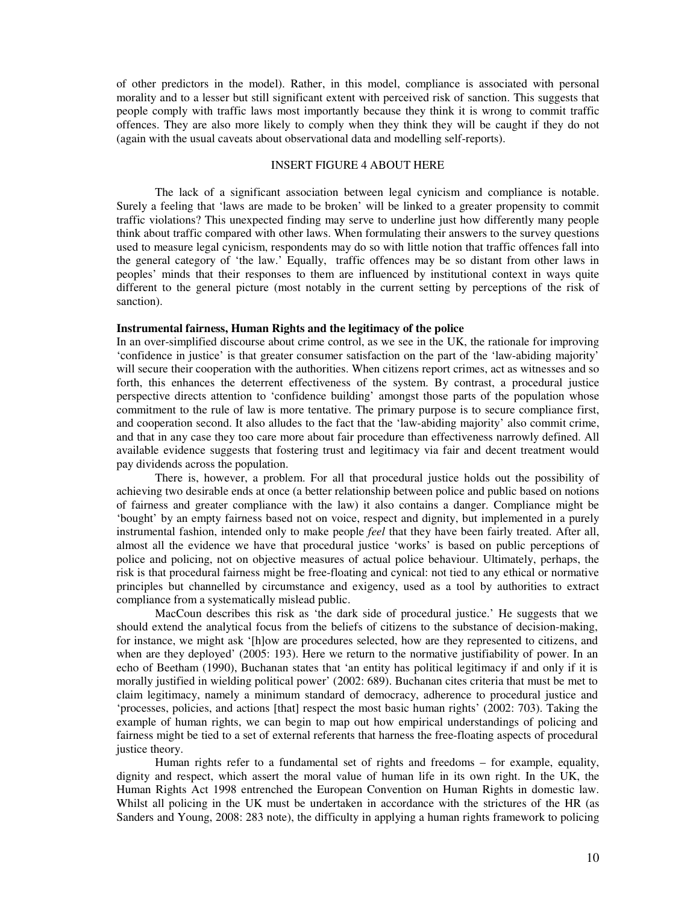of other predictors in the model). Rather, in this model, compliance is associated with personal morality and to a lesser but still significant extent with perceived risk of sanction. This suggests that people comply with traffic laws most importantly because they think it is wrong to commit traffic offences. They are also more likely to comply when they think they will be caught if they do not (again with the usual caveats about observational data and modelling self-reports).

#### INSERT FIGURE 4 ABOUT HERE

 The lack of a significant association between legal cynicism and compliance is notable. Surely a feeling that 'laws are made to be broken' will be linked to a greater propensity to commit traffic violations? This unexpected finding may serve to underline just how differently many people think about traffic compared with other laws. When formulating their answers to the survey questions used to measure legal cynicism, respondents may do so with little notion that traffic offences fall into the general category of 'the law.' Equally, traffic offences may be so distant from other laws in peoples' minds that their responses to them are influenced by institutional context in ways quite different to the general picture (most notably in the current setting by perceptions of the risk of sanction).

#### **Instrumental fairness, Human Rights and the legitimacy of the police**

In an over-simplified discourse about crime control, as we see in the UK, the rationale for improving 'confidence in justice' is that greater consumer satisfaction on the part of the 'law-abiding majority' will secure their cooperation with the authorities. When citizens report crimes, act as witnesses and so forth, this enhances the deterrent effectiveness of the system. By contrast, a procedural justice perspective directs attention to 'confidence building' amongst those parts of the population whose commitment to the rule of law is more tentative. The primary purpose is to secure compliance first, and cooperation second. It also alludes to the fact that the 'law-abiding majority' also commit crime, and that in any case they too care more about fair procedure than effectiveness narrowly defined. All available evidence suggests that fostering trust and legitimacy via fair and decent treatment would pay dividends across the population.

There is, however, a problem. For all that procedural justice holds out the possibility of achieving two desirable ends at once (a better relationship between police and public based on notions of fairness and greater compliance with the law) it also contains a danger. Compliance might be 'bought' by an empty fairness based not on voice, respect and dignity, but implemented in a purely instrumental fashion, intended only to make people *feel* that they have been fairly treated. After all, almost all the evidence we have that procedural justice 'works' is based on public perceptions of police and policing, not on objective measures of actual police behaviour. Ultimately, perhaps, the risk is that procedural fairness might be free-floating and cynical: not tied to any ethical or normative principles but channelled by circumstance and exigency, used as a tool by authorities to extract compliance from a systematically mislead public.

MacCoun describes this risk as 'the dark side of procedural justice.' He suggests that we should extend the analytical focus from the beliefs of citizens to the substance of decision-making, for instance, we might ask '[h]ow are procedures selected, how are they represented to citizens, and when are they deployed' (2005: 193). Here we return to the normative justifiability of power. In an echo of Beetham (1990), Buchanan states that 'an entity has political legitimacy if and only if it is morally justified in wielding political power' (2002: 689). Buchanan cites criteria that must be met to claim legitimacy, namely a minimum standard of democracy, adherence to procedural justice and 'processes, policies, and actions [that] respect the most basic human rights' (2002: 703). Taking the example of human rights, we can begin to map out how empirical understandings of policing and fairness might be tied to a set of external referents that harness the free-floating aspects of procedural justice theory.

Human rights refer to a fundamental set of rights and freedoms – for example, equality, dignity and respect, which assert the moral value of human life in its own right. In the UK, the Human Rights Act 1998 entrenched the European Convention on Human Rights in domestic law. Whilst all policing in the UK must be undertaken in accordance with the strictures of the HR (as Sanders and Young, 2008: 283 note), the difficulty in applying a human rights framework to policing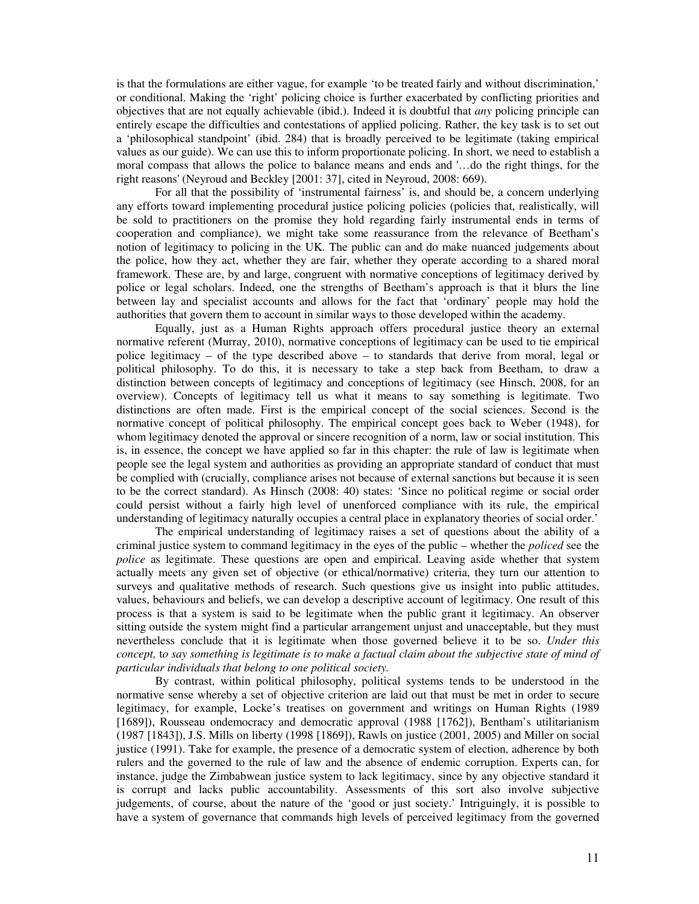is that the formulations are either vague, for example 'to be treated fairly and without discrimination,' or conditional. Making the 'right' policing choice is further exacerbated by conflicting priorities and objectives that are not equally achievable (ibid.). Indeed it is doubtful that *any* policing principle can entirely escape the difficulties and contestations of applied policing. Rather, the key task is to set out a 'philosophical standpoint' (ibid. 284) that is broadly perceived to be legitimate (taking empirical values as our guide). We can use this to inform proportionate policing. In short, we need to establish a moral compass that allows the police to balance means and ends and '…do the right things, for the right reasons' (Neyroud and Beckley [2001: 37], cited in Neyroud, 2008: 669).

 For all that the possibility of 'instrumental fairness' is, and should be, a concern underlying any efforts toward implementing procedural justice policing policies (policies that, realistically, will be sold to practitioners on the promise they hold regarding fairly instrumental ends in terms of cooperation and compliance), we might take some reassurance from the relevance of Beetham's notion of legitimacy to policing in the UK. The public can and do make nuanced judgements about the police, how they act, whether they are fair, whether they operate according to a shared moral framework. These are, by and large, congruent with normative conceptions of legitimacy derived by police or legal scholars. Indeed, one the strengths of Beetham's approach is that it blurs the line between lay and specialist accounts and allows for the fact that 'ordinary' people may hold the authorities that govern them to account in similar ways to those developed within the academy.

Equally, just as a Human Rights approach offers procedural justice theory an external normative referent (Murray, 2010), normative conceptions of legitimacy can be used to tie empirical police legitimacy – of the type described above – to standards that derive from moral, legal or political philosophy. To do this, it is necessary to take a step back from Beetham, to draw a distinction between concepts of legitimacy and conceptions of legitimacy (see Hinsch, 2008, for an overview). Concepts of legitimacy tell us what it means to say something is legitimate. Two distinctions are often made. First is the empirical concept of the social sciences. Second is the normative concept of political philosophy. The empirical concept goes back to Weber (1948), for whom legitimacy denoted the approval or sincere recognition of a norm, law or social institution. This is, in essence, the concept we have applied so far in this chapter: the rule of law is legitimate when people see the legal system and authorities as providing an appropriate standard of conduct that must be complied with (crucially, compliance arises not because of external sanctions but because it is seen to be the correct standard). As Hinsch (2008: 40) states: 'Since no political regime or social order could persist without a fairly high level of unenforced compliance with its rule, the empirical understanding of legitimacy naturally occupies a central place in explanatory theories of social order.'

The empirical understanding of legitimacy raises a set of questions about the ability of a criminal justice system to command legitimacy in the eyes of the public – whether the *policed* see the *police* as legitimate. These questions are open and empirical. Leaving aside whether that system actually meets any given set of objective (or ethical/normative) criteria, they turn our attention to surveys and qualitative methods of research. Such questions give us insight into public attitudes, values, behaviours and beliefs, we can develop a descriptive account of legitimacy. One result of this process is that a system is said to be legitimate when the public grant it legitimacy. An observer sitting outside the system might find a particular arrangement unjust and unacceptable, but they must nevertheless conclude that it is legitimate when those governed believe it to be so. *Under this concept,* t*o say something is legitimate is to make a factual claim about the subjective state of mind of particular individuals that belong to one political society.* 

By contrast, within political philosophy, political systems tends to be understood in the normative sense whereby a set of objective criterion are laid out that must be met in order to secure legitimacy, for example, Locke's treatises on government and writings on Human Rights (1989 [1689]), Rousseau ondemocracy and democratic approval (1988 [1762]), Bentham's utilitarianism (1987 [1843]), J.S. Mills on liberty (1998 [1869]), Rawls on justice (2001, 2005) and Miller on social justice (1991). Take for example, the presence of a democratic system of election, adherence by both rulers and the governed to the rule of law and the absence of endemic corruption. Experts can, for instance, judge the Zimbabwean justice system to lack legitimacy, since by any objective standard it is corrupt and lacks public accountability. Assessments of this sort also involve subjective judgements, of course, about the nature of the 'good or just society.' Intriguingly, it is possible to have a system of governance that commands high levels of perceived legitimacy from the governed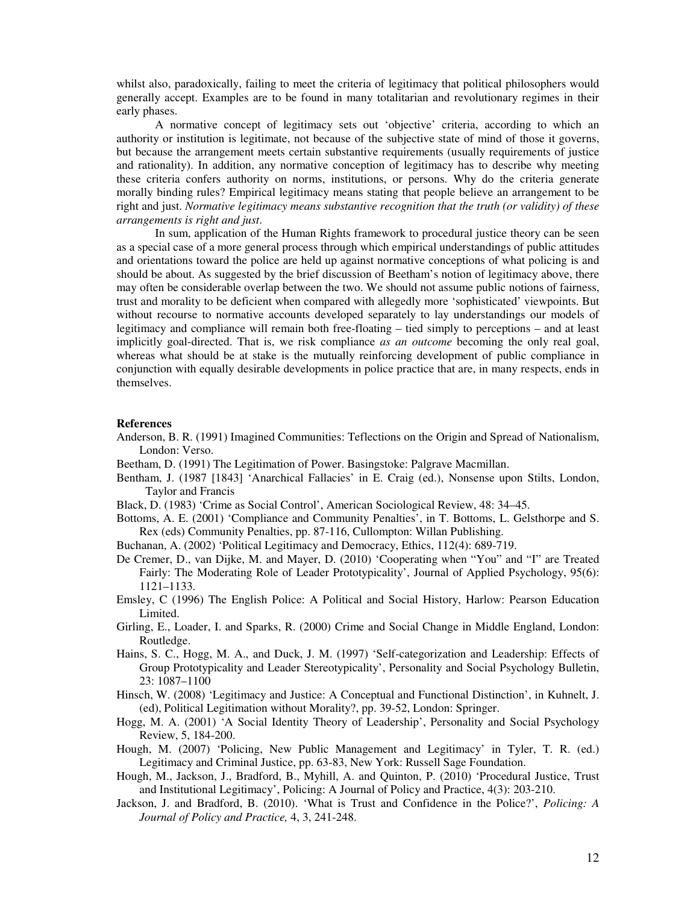whilst also, paradoxically, failing to meet the criteria of legitimacy that political philosophers would generally accept. Examples are to be found in many totalitarian and revolutionary regimes in their early phases.

A normative concept of legitimacy sets out 'objective' criteria, according to which an authority or institution is legitimate, not because of the subjective state of mind of those it governs, but because the arrangement meets certain substantive requirements (usually requirements of justice and rationality). In addition, any normative conception of legitimacy has to describe why meeting these criteria confers authority on norms, institutions, or persons. Why do the criteria generate morally binding rules? Empirical legitimacy means stating that people believe an arrangement to be right and just. *Normative legitimacy means substantive recognition that the truth (or validity) of these arrangements is right and just*.

 In sum, application of the Human Rights framework to procedural justice theory can be seen as a special case of a more general process through which empirical understandings of public attitudes and orientations toward the police are held up against normative conceptions of what policing is and should be about. As suggested by the brief discussion of Beetham's notion of legitimacy above, there may often be considerable overlap between the two. We should not assume public notions of fairness, trust and morality to be deficient when compared with allegedly more 'sophisticated' viewpoints. But without recourse to normative accounts developed separately to lay understandings our models of legitimacy and compliance will remain both free-floating – tied simply to perceptions – and at least implicitly goal-directed. That is, we risk compliance *as an outcome* becoming the only real goal, whereas what should be at stake is the mutually reinforcing development of public compliance in conjunction with equally desirable developments in police practice that are, in many respects, ends in themselves.

#### **References**

- Anderson, B. R. (1991) Imagined Communities: Teflections on the Origin and Spread of Nationalism, London: Verso.
- Beetham, D. (1991) The Legitimation of Power. Basingstoke: Palgrave Macmillan.
- Bentham, J. (1987 [1843] 'Anarchical Fallacies' in E. Craig (ed.), Nonsense upon Stilts, London, Taylor and Francis
- Black, D. (1983) 'Crime as Social Control', American Sociological Review, 48: 34–45.
- Bottoms, A. E. (2001) 'Compliance and Community Penalties', in T. Bottoms, L. Gelsthorpe and S. Rex (eds) Community Penalties, pp. 87-116, Cullompton: Willan Publishing.
- Buchanan, A. (2002) 'Political Legitimacy and Democracy, Ethics, 112(4): 689-719.
- De Cremer, D., van Dijke, M. and Mayer, D. (2010) 'Cooperating when "You" and "I" are Treated Fairly: The Moderating Role of Leader Prototypicality', Journal of Applied Psychology, 95(6): 1121–1133.
- Emsley, C (1996) The English Police: A Political and Social History, Harlow: Pearson Education Limited.
- Girling, E., Loader, I. and Sparks, R. (2000) Crime and Social Change in Middle England, London: Routledge.
- Hains, S. C., Hogg, M. A., and Duck, J. M. (1997) 'Self-categorization and Leadership: Effects of Group Prototypicality and Leader Stereotypicality', Personality and Social Psychology Bulletin, 23: 1087–1100
- Hinsch, W. (2008) 'Legitimacy and Justice: A Conceptual and Functional Distinction', in Kuhnelt, J. (ed), Political Legitimation without Morality?, pp. 39-52, London: Springer.
- Hogg, M. A. (2001) 'A Social Identity Theory of Leadership', Personality and Social Psychology Review, 5, 184-200.
- Hough, M. (2007) 'Policing, New Public Management and Legitimacy' in Tyler, T. R. (ed.) Legitimacy and Criminal Justice, pp. 63-83, New York: Russell Sage Foundation.
- Hough, M., Jackson, J., Bradford, B., Myhill, A. and Quinton, P. (2010) 'Procedural Justice, Trust and Institutional Legitimacy', Policing: A Journal of Policy and Practice, 4(3): 203-210.
- Jackson, J. and Bradford, B. (2010). 'What is Trust and Confidence in the Police?', *Policing: A Journal of Policy and Practice,* 4, 3, 241-248.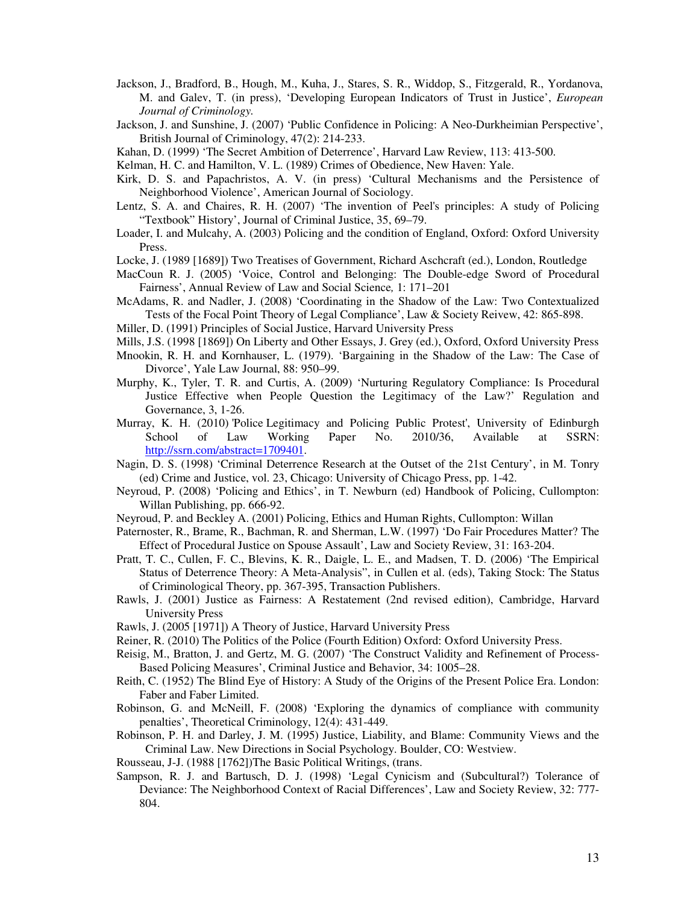- Jackson, J., Bradford, B., Hough, M., Kuha, J., Stares, S. R., Widdop, S., Fitzgerald, R., Yordanova, M. and Galev, T. (in press), 'Developing European Indicators of Trust in Justice', *European Journal of Criminology.*
- Jackson, J. and Sunshine, J. (2007) 'Public Confidence in Policing: A Neo-Durkheimian Perspective', British Journal of Criminology, 47(2): 214-233.
- Kahan, D. (1999) 'The Secret Ambition of Deterrence', Harvard Law Review, 113: 413-500.
- Kelman, H. C. and Hamilton, V. L. (1989) Crimes of Obedience, New Haven: Yale.
- Kirk, D. S. and Papachristos, A. V. (in press) 'Cultural Mechanisms and the Persistence of Neighborhood Violence', American Journal of Sociology.
- Lentz, S. A. and Chaires, R. H. (2007) 'The invention of Peel's principles: A study of Policing "Textbook" History', Journal of Criminal Justice, 35, 69–79.
- Loader, I. and Mulcahy, A. (2003) Policing and the condition of England, Oxford: Oxford University Press.
- Locke, J. (1989 [1689]) Two Treatises of Government, Richard Aschcraft (ed.), London, Routledge
- MacCoun R. J. (2005) 'Voice, Control and Belonging: The Double-edge Sword of Procedural Fairness', Annual Review of Law and Social Science*,* 1: 171–201
- McAdams, R. and Nadler, J. (2008) 'Coordinating in the Shadow of the Law: Two Contextualized Tests of the Focal Point Theory of Legal Compliance', Law & Society Reivew, 42: 865-898.
- Miller, D. (1991) Principles of Social Justice, Harvard University Press
- Mills, J.S. (1998 [1869]) On Liberty and Other Essays, J. Grey (ed.), Oxford, Oxford University Press
- Mnookin, R. H. and Kornhauser, L. (1979). 'Bargaining in the Shadow of the Law: The Case of Divorce', Yale Law Journal, 88: 950–99.
- Murphy, K., Tyler, T. R. and Curtis, A. (2009) 'Nurturing Regulatory Compliance: Is Procedural Justice Effective when People Question the Legitimacy of the Law?' Regulation and Governance, 3, 1-26.
- Murray, K. H. (2010) 'Police Legitimacy and Policing Public Protest', University of Edinburgh School of Law Working Paper No. 2010/36, Available at SSRN: http://ssrn.com/abstract=1709401.
- Nagin, D. S. (1998) 'Criminal Deterrence Research at the Outset of the 21st Century', in M. Tonry (ed) Crime and Justice, vol. 23, Chicago: University of Chicago Press, pp. 1-42.
- Neyroud, P. (2008) 'Policing and Ethics', in T. Newburn (ed) Handbook of Policing, Cullompton: Willan Publishing, pp. 666-92.
- Neyroud, P. and Beckley A. (2001) Policing, Ethics and Human Rights, Cullompton: Willan
- Paternoster, R., Brame, R., Bachman, R. and Sherman, L.W. (1997) 'Do Fair Procedures Matter? The Effect of Procedural Justice on Spouse Assault', Law and Society Review, 31: 163-204.
- Pratt, T. C., Cullen, F. C., Blevins, K. R., Daigle, L. E., and Madsen, T. D. (2006) 'The Empirical Status of Deterrence Theory: A Meta-Analysis", in Cullen et al. (eds), Taking Stock: The Status of Criminological Theory, pp. 367-395, Transaction Publishers.
- Rawls, J. (2001) Justice as Fairness: A Restatement (2nd revised edition), Cambridge, Harvard University Press
- Rawls, J. (2005 [1971]) A Theory of Justice, Harvard University Press
- Reiner, R. (2010) The Politics of the Police (Fourth Edition) Oxford: Oxford University Press.
- Reisig, M., Bratton, J. and Gertz, M. G. (2007) 'The Construct Validity and Refinement of Process-Based Policing Measures', Criminal Justice and Behavior, 34: 1005–28.
- Reith, C. (1952) The Blind Eye of History: A Study of the Origins of the Present Police Era. London: Faber and Faber Limited.
- Robinson, G. and McNeill, F. (2008) 'Exploring the dynamics of compliance with community penalties', Theoretical Criminology, 12(4): 431-449.
- Robinson, P. H. and Darley, J. M. (1995) Justice, Liability, and Blame: Community Views and the Criminal Law. New Directions in Social Psychology. Boulder, CO: Westview.
- Rousseau, J-J. (1988 [1762])The Basic Political Writings, (trans.
- Sampson, R. J. and Bartusch, D. J. (1998) 'Legal Cynicism and (Subcultural?) Tolerance of Deviance: The Neighborhood Context of Racial Differences', Law and Society Review, 32: 777- 804.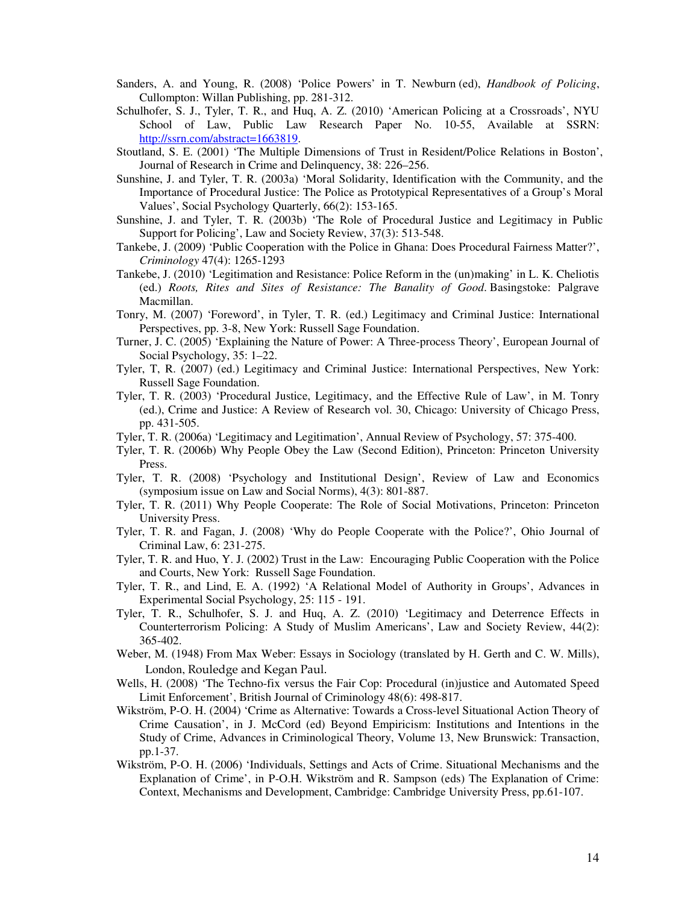- Sanders, A. and Young, R. (2008) 'Police Powers' in T. Newburn (ed), *Handbook of Policing*, Cullompton: Willan Publishing, pp. 281-312.
- Schulhofer, S. J., Tyler, T. R., and Huq, A. Z. (2010) 'American Policing at a Crossroads', NYU School of Law, Public Law Research Paper No. 10-55, Available at SSRN: http://ssrn.com/abstract=1663819.
- Stoutland, S. E. (2001) 'The Multiple Dimensions of Trust in Resident/Police Relations in Boston', Journal of Research in Crime and Delinquency, 38: 226–256.
- Sunshine, J. and Tyler, T. R. (2003a) 'Moral Solidarity, Identification with the Community, and the Importance of Procedural Justice: The Police as Prototypical Representatives of a Group's Moral Values', Social Psychology Quarterly, 66(2): 153-165.
- Sunshine, J. and Tyler, T. R. (2003b) 'The Role of Procedural Justice and Legitimacy in Public Support for Policing', Law and Society Review, 37(3): 513-548.
- Tankebe, J. (2009) 'Public Cooperation with the Police in Ghana: Does Procedural Fairness Matter?', *Criminology* 47(4): 1265-1293
- Tankebe, J. (2010) 'Legitimation and Resistance: Police Reform in the (un)making' in L. K. Cheliotis (ed.) *Roots, Rites and Sites of Resistance: The Banality of Good*. Basingstoke: Palgrave Macmillan.
- Tonry, M. (2007) 'Foreword', in Tyler, T. R. (ed.) Legitimacy and Criminal Justice: International Perspectives, pp. 3-8, New York: Russell Sage Foundation.
- Turner, J. C. (2005) 'Explaining the Nature of Power: A Three-process Theory', European Journal of Social Psychology, 35: 1–22.
- Tyler, T, R. (2007) (ed.) Legitimacy and Criminal Justice: International Perspectives, New York: Russell Sage Foundation.
- Tyler, T. R. (2003) 'Procedural Justice, Legitimacy, and the Effective Rule of Law', in M. Tonry (ed.), Crime and Justice: A Review of Research vol. 30, Chicago: University of Chicago Press, pp. 431-505.
- Tyler, T. R. (2006a) 'Legitimacy and Legitimation', Annual Review of Psychology, 57: 375-400.
- Tyler, T. R. (2006b) Why People Obey the Law (Second Edition), Princeton: Princeton University Press.
- Tyler, T. R. (2008) 'Psychology and Institutional Design', Review of Law and Economics (symposium issue on Law and Social Norms), 4(3): 801-887.
- Tyler, T. R. (2011) Why People Cooperate: The Role of Social Motivations, Princeton: Princeton University Press.
- Tyler, T. R. and Fagan, J. (2008) 'Why do People Cooperate with the Police?', Ohio Journal of Criminal Law, 6: 231-275.
- Tyler, T. R. and Huo, Y. J. (2002) Trust in the Law: Encouraging Public Cooperation with the Police and Courts, New York: Russell Sage Foundation.
- Tyler, T. R., and Lind, E. A. (1992) 'A Relational Model of Authority in Groups', Advances in Experimental Social Psychology, 25: 115 - 191.
- Tyler, T. R., Schulhofer, S. J. and Huq, A. Z. (2010) 'Legitimacy and Deterrence Effects in Counterterrorism Policing: A Study of Muslim Americans', Law and Society Review, 44(2): 365-402.
- Weber, M. (1948) From Max Weber: Essays in Sociology (translated by H. Gerth and C. W. Mills), London, Rouledge and Kegan Paul.
- Wells, H. (2008) 'The Techno-fix versus the Fair Cop: Procedural (in)justice and Automated Speed Limit Enforcement', British Journal of Criminology 48(6): 498-817.
- Wikström, P-O. H. (2004) 'Crime as Alternative: Towards a Cross-level Situational Action Theory of Crime Causation', in J. McCord (ed) Beyond Empiricism: Institutions and Intentions in the Study of Crime, Advances in Criminological Theory, Volume 13, New Brunswick: Transaction, pp.1-37.
- Wikström, P-O. H. (2006) 'Individuals, Settings and Acts of Crime. Situational Mechanisms and the Explanation of Crime', in P-O.H. Wikström and R. Sampson (eds) The Explanation of Crime: Context, Mechanisms and Development, Cambridge: Cambridge University Press, pp.61-107.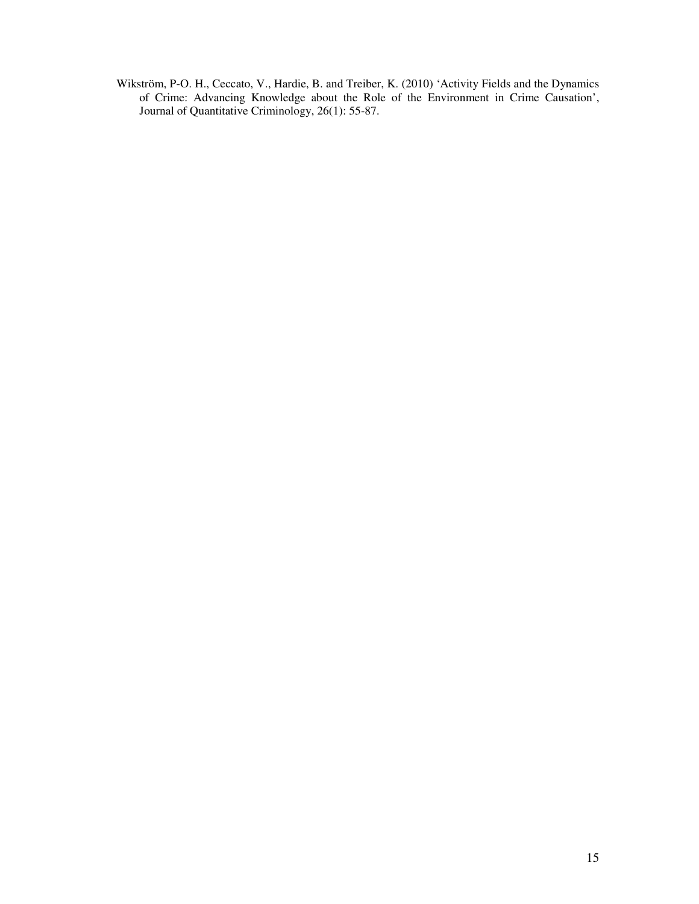Wikström, P-O. H., Ceccato, V., Hardie, B. and Treiber, K. (2010) 'Activity Fields and the Dynamics of Crime: Advancing Knowledge about the Role of the Environment in Crime Causation', Journal of Quantitative Criminology, 26(1): 55-87.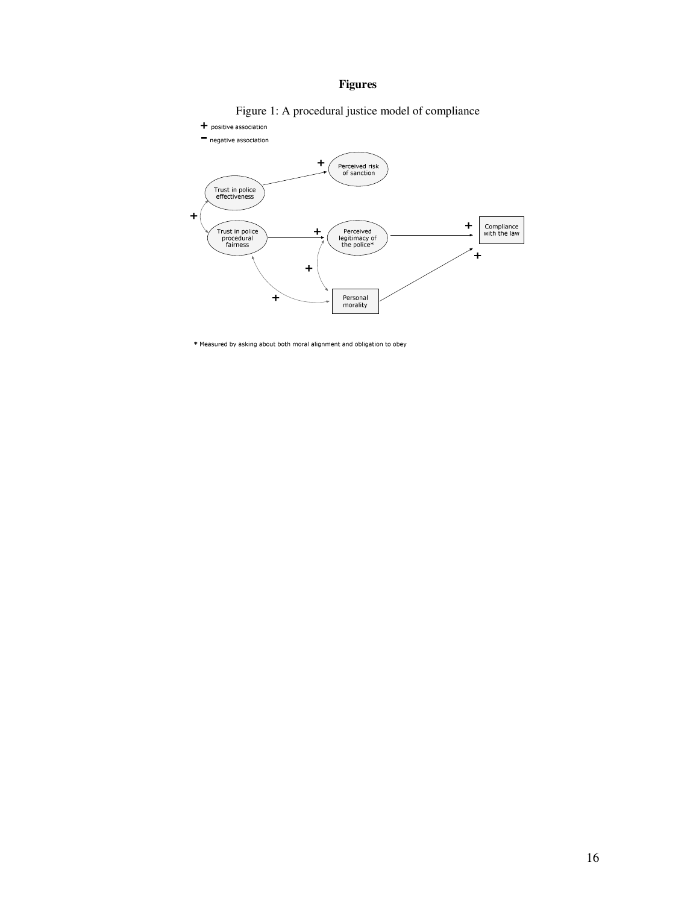### **Figures**

Figure 1: A procedural justice model of compliance



\* Measured by asking about both moral alignment and obligation to obey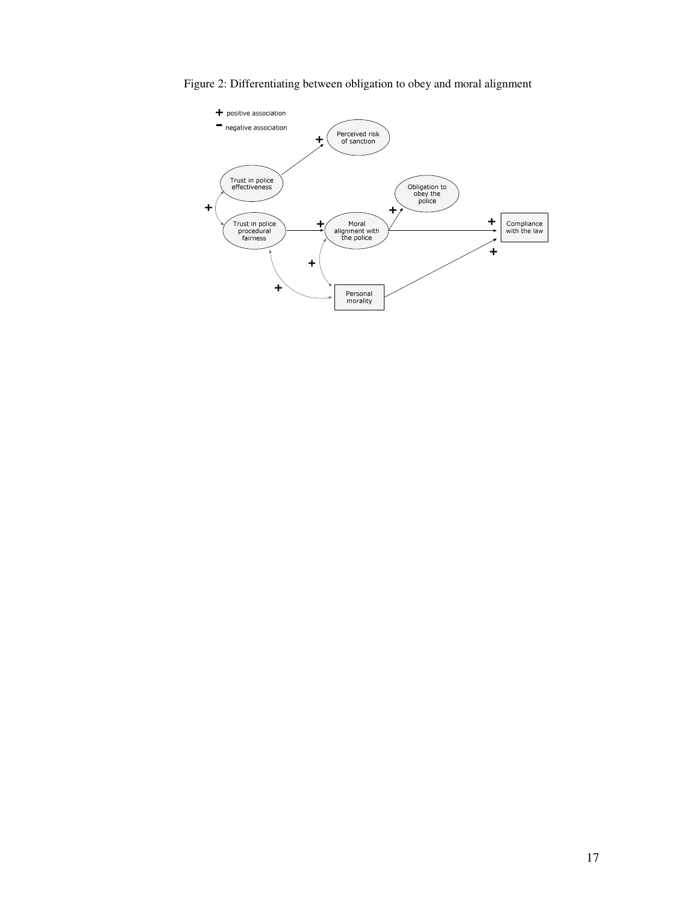

Figure 2: Differentiating between obligation to obey and moral alignment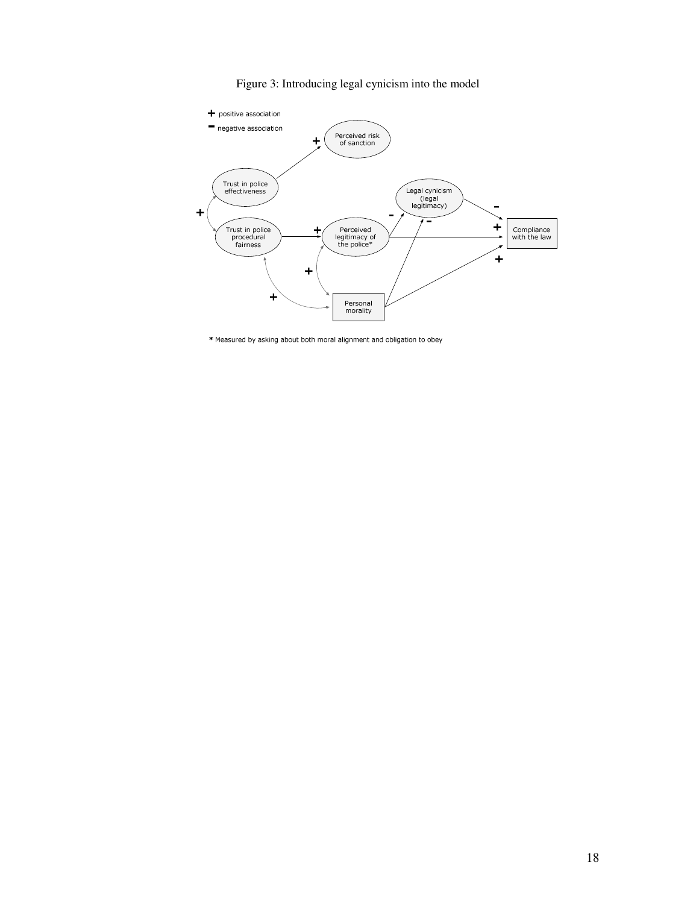



\* Measured by asking about both moral alignment and obligation to obey